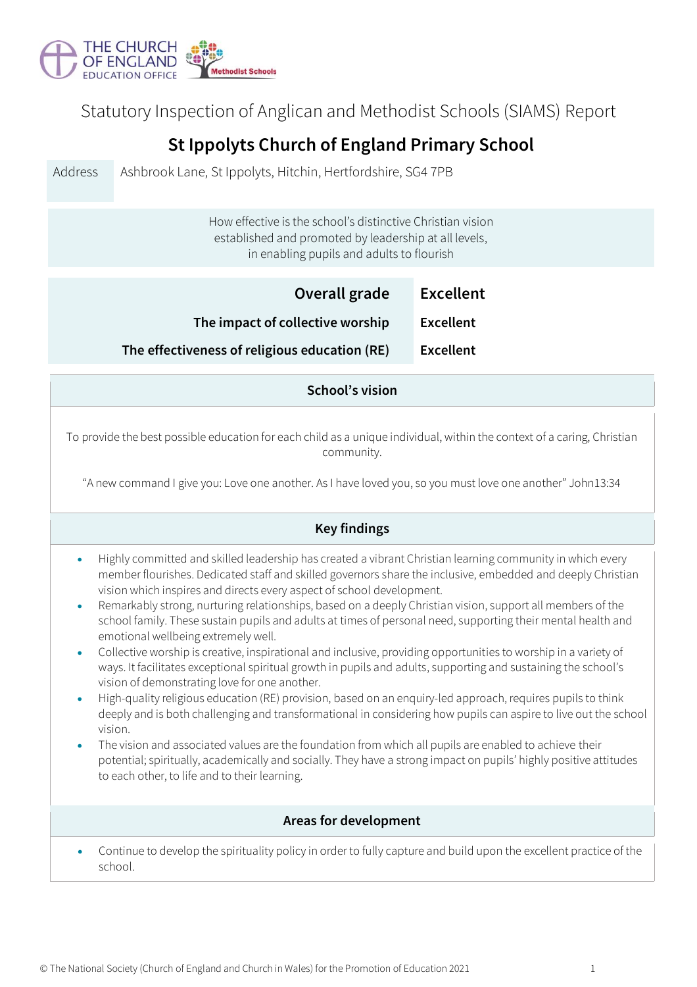

Statutory Inspection of Anglican and Methodist Schools (SIAMS) Report

## **St Ippolyts Church of England Primary School**

Address Ashbrook Lane, St Ippolyts, Hitchin, Hertfordshire, SG4 7PB How effective is the school's distinctive Christian vision established and promoted by leadership at all levels, in enabling pupils and adults to flourish **Overall grade Excellent The impact of collective worship Excellent The effectiveness of religious education (RE) Excellent School's vision** To provide the best possible education for each child as a unique individual, within the context of a caring, Christian community. "A new command I give you: Love one another. As I have loved you, so you must love one another" John13:34 **Key findings** • Highly committed and skilled leadership has created a vibrant Christian learning community in which every member flourishes. Dedicated staff and skilled governors share the inclusive, embedded and deeply Christian vision which inspires and directs every aspect of school development. • Remarkably strong, nurturing relationships, based on a deeply Christian vision, support all members of the school family. These sustain pupils and adults at times of personal need, supporting their mental health and emotional wellbeing extremely well. • Collective worship is creative, inspirational and inclusive, providing opportunities to worship in a variety of ways. It facilitates exceptional spiritual growth in pupils and adults, supporting and sustaining the school's vision of demonstrating love for one another. • High-quality religious education (RE) provision, based on an enquiry-led approach, requires pupils to think deeply and is both challenging and transformational in considering how pupils can aspire to live out the school vision. • The vision and associated values are the foundation from which all pupils are enabled to achieve their potential; spiritually, academically and socially. They have a strong impact on pupils' highly positive attitudes to each other, to life and to their learning. **Areas for development** • Continue to develop the spirituality policy in order to fully capture and build upon the excellent practice of the school.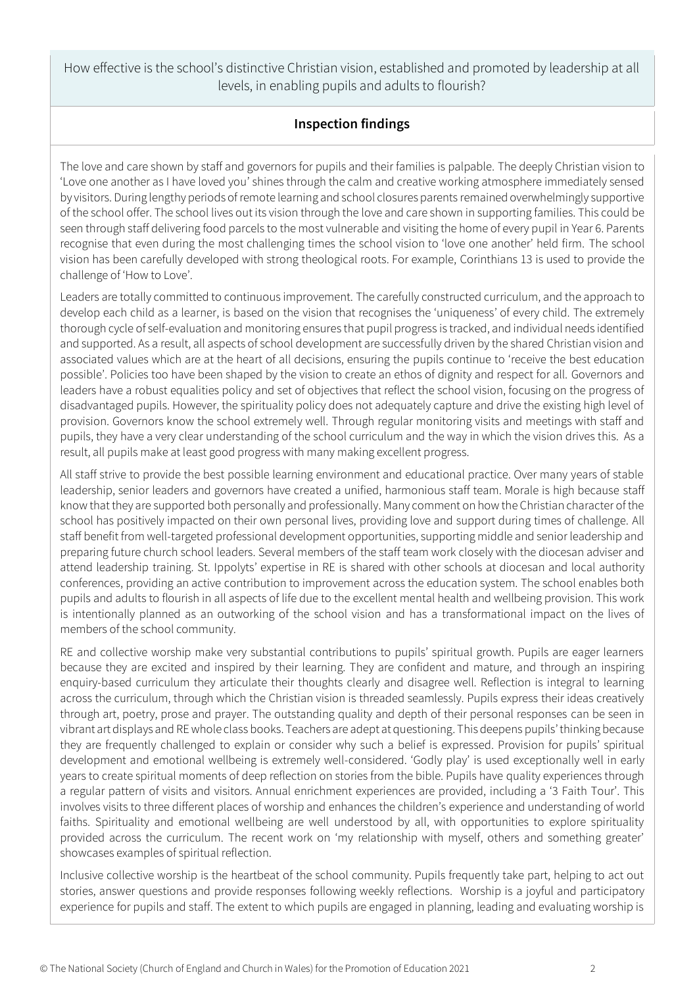How effective is the school's distinctive Christian vision, established and promoted by leadership at all levels, in enabling pupils and adults to flourish?

## **Inspection findings**

The love and care shown by staff and governors for pupils and their families is palpable. The deeply Christian vision to 'Love one another as I have loved you' shines through the calm and creative working atmosphere immediately sensed by visitors. During lengthy periods of remote learning and school closures parents remained overwhelmingly supportive of the school offer. The school lives out its vision through the love and care shown in supporting families. This could be seen through staff delivering food parcels to the most vulnerable and visiting the home of every pupil in Year 6. Parents recognise that even during the most challenging times the school vision to 'love one another' held firm. The school vision has been carefully developed with strong theological roots. For example, Corinthians 13 is used to provide the challenge of 'How to Love'.

Leaders are totally committed to continuous improvement. The carefully constructed curriculum, and the approach to develop each child as a learner, is based on the vision that recognises the 'uniqueness' of every child. The extremely thorough cycle of self-evaluation and monitoring ensures that pupil progress is tracked, and individual needs identified and supported. As a result, all aspects of school development are successfully driven by the shared Christian vision and associated values which are at the heart of all decisions, ensuring the pupils continue to 'receive the best education possible'. Policies too have been shaped by the vision to create an ethos of dignity and respect for all. Governors and leaders have a robust equalities policy and set of objectives that reflect the school vision, focusing on the progress of disadvantaged pupils. However, the spirituality policy does not adequately capture and drive the existing high level of provision. Governors know the school extremely well. Through regular monitoring visits and meetings with staff and pupils, they have a very clear understanding of the school curriculum and the way in which the vision drives this. As a result, all pupils make at least good progress with many making excellent progress.

All staff strive to provide the best possible learning environment and educational practice. Over many years of stable leadership, senior leaders and governors have created a unified, harmonious staff team. Morale is high because staff know that they are supported both personally and professionally. Many comment on how the Christian character of the school has positively impacted on their own personal lives, providing love and support during times of challenge. All staff benefit from well-targeted professional development opportunities, supporting middle and senior leadership and preparing future church school leaders. Several members of the staff team work closely with the diocesan adviser and attend leadership training. St. Ippolyts' expertise in RE is shared with other schools at diocesan and local authority conferences, providing an active contribution to improvement across the education system. The school enables both pupils and adults to flourish in all aspects of life due to the excellent mental health and wellbeing provision. This work is intentionally planned as an outworking of the school vision and has a transformational impact on the lives of members of the school community.

RE and collective worship make very substantial contributions to pupils' spiritual growth. Pupils are eager learners because they are excited and inspired by their learning. They are confident and mature, and through an inspiring enquiry-based curriculum they articulate their thoughts clearly and disagree well. Reflection is integral to learning across the curriculum, through which the Christian vision is threaded seamlessly. Pupils express their ideas creatively through art, poetry, prose and prayer. The outstanding quality and depth of their personal responses can be seen in vibrant art displays and RE whole class books. Teachers are adept at questioning. This deepens pupils' thinking because they are frequently challenged to explain or consider why such a belief is expressed. Provision for pupils' spiritual development and emotional wellbeing is extremely well-considered. 'Godly play' is used exceptionally well in early years to create spiritual moments of deep reflection on stories from the bible. Pupils have quality experiences through a regular pattern of visits and visitors. Annual enrichment experiences are provided, including a '3 Faith Tour'. This involves visits to three different places of worship and enhances the children's experience and understanding of world faiths. Spirituality and emotional wellbeing are well understood by all, with opportunities to explore spirituality provided across the curriculum. The recent work on 'my relationship with myself, others and something greater' showcases examples of spiritual reflection.

Inclusive collective worship is the heartbeat of the school community. Pupils frequently take part, helping to act out stories, answer questions and provide responses following weekly reflections. Worship is a joyful and participatory experience for pupils and staff. The extent to which pupils are engaged in planning, leading and evaluating worship is